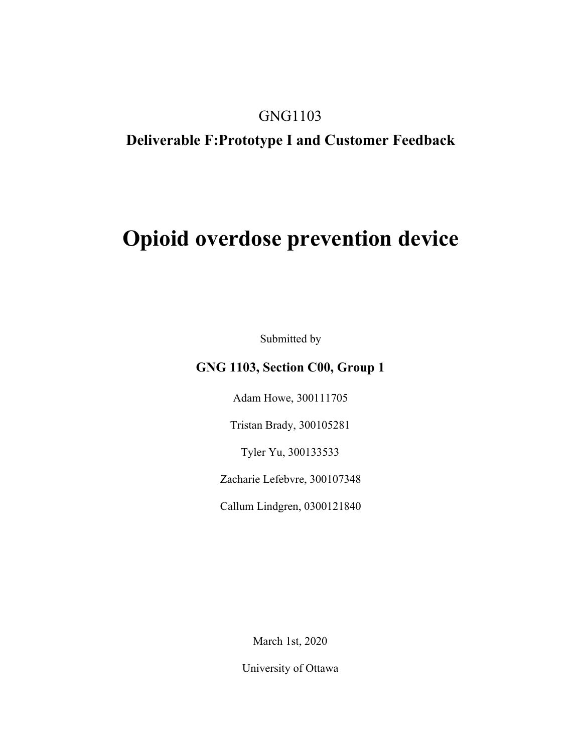### GNG1103

### **Deliverable F:Prototype I and Customer Feedback**

# **Opioid overdose prevention device**

Submitted by

### **GNG 1103, Section C00, Group 1**

Adam Howe, 300111705

Tristan Brady, 300105281

Tyler Yu, 300133533

Zacharie Lefebvre, 300107348

Callum Lindgren, 0300121840

March 1st, 2020

University of Ottawa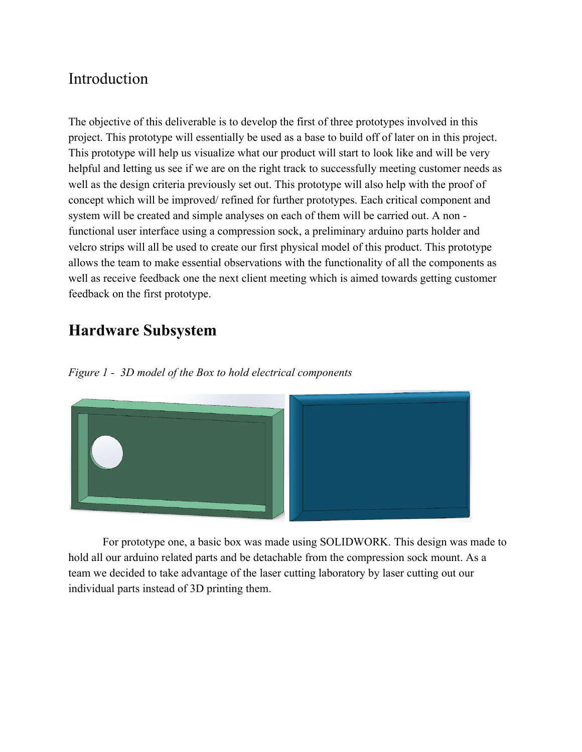# Introduction

The objective of this deliverable is to develop the first of three prototypes involved in this project. This prototype will essentially be used as a base to build off of later on in this project. This prototype will help us visualize what our product will start to look like and will be very helpful and letting us see if we are on the right track to successfully meeting customer needs as well as the design criteria previously set out. This prototype will also help with the proof of concept which will be improved/ refined for further prototypes. Each critical component and system will be created and simple analyses on each of them will be carried out. A non functional user interface using a compression sock, a preliminary arduino parts holder and velcro strips will all be used to create our first physical model of this product. This prototype allows the team to make essential observations with the functionality of all the components as well as receive feedback one the next client meeting which is aimed towards getting customer feedback on the first prototype.

# **Hardware Subsystem**

*Figure 1 - 3D model of the Box to hold electrical components*



For prototype one, a basic box was made using SOLIDWORK. This design was made to hold all our arduino related parts and be detachable from the compression sock mount. As a team we decided to take advantage of the laser cutting laboratory by laser cutting out our individual parts instead of 3D printing them.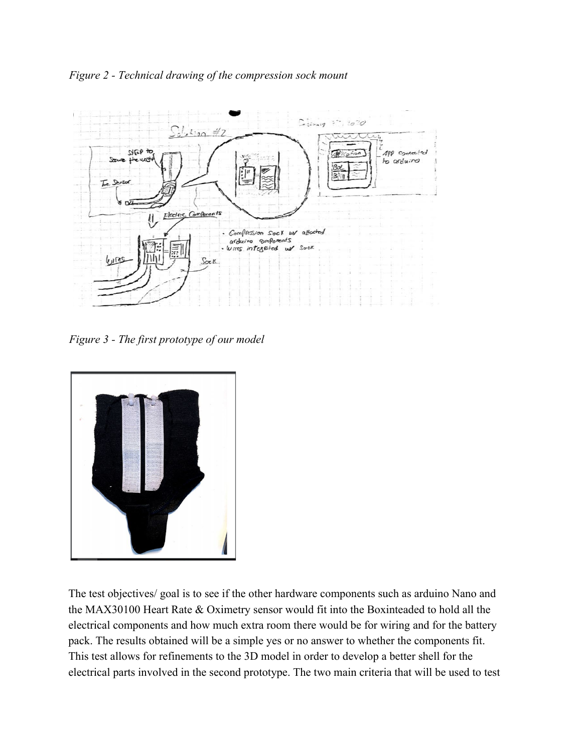



*Figure 3 - The first prototype of our model*



The test objectives/ goal is to see if the other hardware components such as arduino Nano and the MAX30100 Heart Rate & Oximetry sensor would fit into the Boxinteaded to hold all the electrical components and how much extra room there would be for wiring and for the battery pack. The results obtained will be a simple yes or no answer to whether the components fit. This test allows for refinements to the 3D model in order to develop a better shell for the electrical parts involved in the second prototype. The two main criteria that will be used to test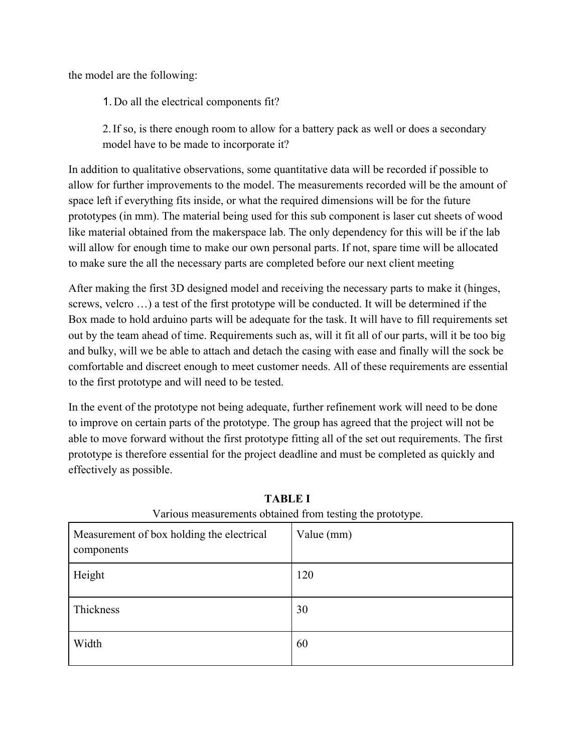the model are the following:

1. Do all the electrical components fit?

2.If so, is there enough room to allow for a battery pack as well or does a secondary model have to be made to incorporate it?

In addition to qualitative observations, some quantitative data will be recorded if possible to allow for further improvements to the model. The measurements recorded will be the amount of space left if everything fits inside, or what the required dimensions will be for the future prototypes (in mm). The material being used for this sub component is laser cut sheets of wood like material obtained from the makerspace lab. The only dependency for this will be if the lab will allow for enough time to make our own personal parts. If not, spare time will be allocated to make sure the all the necessary parts are completed before our next client meeting

After making the first 3D designed model and receiving the necessary parts to make it (hinges, screws, velcro …) a test of the first prototype will be conducted. It will be determined if the Box made to hold arduino parts will be adequate for the task. It will have to fill requirements set out by the team ahead of time. Requirements such as, will it fit all of our parts, will it be too big and bulky, will we be able to attach and detach the casing with ease and finally will the sock be comfortable and discreet enough to meet customer needs. All of these requirements are essential to the first prototype and will need to be tested.

In the event of the prototype not being adequate, further refinement work will need to be done to improve on certain parts of the prototype. The group has agreed that the project will not be able to move forward without the first prototype fitting all of the set out requirements. The first prototype is therefore essential for the project deadline and must be completed as quickly and effectively as possible.

| Measurement of box holding the electrical<br>components | Value (mm) |
|---------------------------------------------------------|------------|
| Height                                                  | 120        |
| Thickness                                               | 30         |
| Width                                                   | 60         |

**TABLE I** Various measurements obtained from testing the prototype.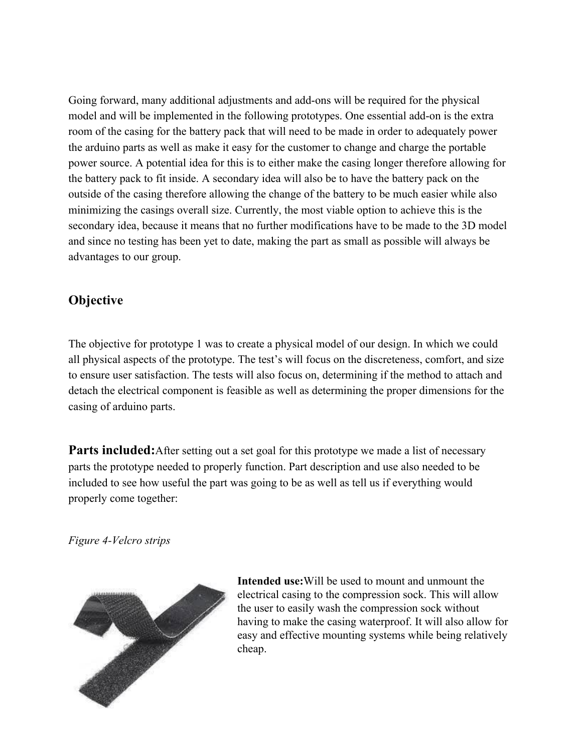Going forward, many additional adjustments and add-ons will be required for the physical model and will be implemented in the following prototypes. One essential add-on is the extra room of the casing for the battery pack that will need to be made in order to adequately power the arduino parts as well as make it easy for the customer to change and charge the portable power source. A potential idea for this is to either make the casing longer therefore allowing for the battery pack to fit inside. A secondary idea will also be to have the battery pack on the outside of the casing therefore allowing the change of the battery to be much easier while also minimizing the casings overall size. Currently, the most viable option to achieve this is the secondary idea, because it means that no further modifications have to be made to the 3D model and since no testing has been yet to date, making the part as small as possible will always be advantages to our group.

### **Objective**

The objective for prototype 1 was to create a physical model of our design. In which we could all physical aspects of the prototype. The test's will focus on the discreteness, comfort, and size to ensure user satisfaction. The tests will also focus on, determining if the method to attach and detach the electrical component is feasible as well as determining the proper dimensions for the casing of arduino parts.

**Parts included:**After setting out a set goal for this prototype we made a list of necessary parts the prototype needed to properly function. Part description and use also needed to be included to see how useful the part was going to be as well as tell us if everything would properly come together:

*Figure 4-Velcro strips*



**Intended use:**Will be used to mount and unmount the electrical casing to the compression sock. This will allow the user to easily wash the compression sock without having to make the casing waterproof. It will also allow for easy and effective mounting systems while being relatively cheap.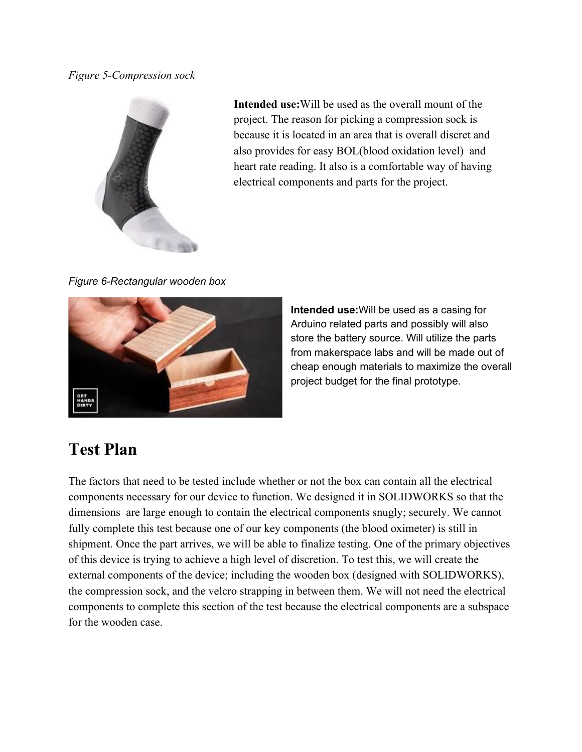#### *Figure 5-Compression sock*



**Intended use:**Will be used as the overall mount of the project. The reason for picking a compression sock is because it is located in an area that is overall discret and also provides for easy BOL(blood oxidation level) and heart rate reading. It also is a comfortable way of having electrical components and parts for the project.

*Figure 6-Rectangular wooden box*



**Intended use:**Will be used as a casing for Arduino related parts and possibly will also store the battery source. Will utilize the parts from makerspace labs and will be made out of cheap enough materials to maximize the overall project budget for the final prototype.

# **Test Plan**

The factors that need to be tested include whether or not the box can contain all the electrical components necessary for our device to function. We designed it in SOLIDWORKS so that the dimensions are large enough to contain the electrical components snugly; securely. We cannot fully complete this test because one of our key components (the blood oximeter) is still in shipment. Once the part arrives, we will be able to finalize testing. One of the primary objectives of this device is trying to achieve a high level of discretion. To test this, we will create the external components of the device; including the wooden box (designed with SOLIDWORKS), the compression sock, and the velcro strapping in between them. We will not need the electrical components to complete this section of the test because the electrical components are a subspace for the wooden case.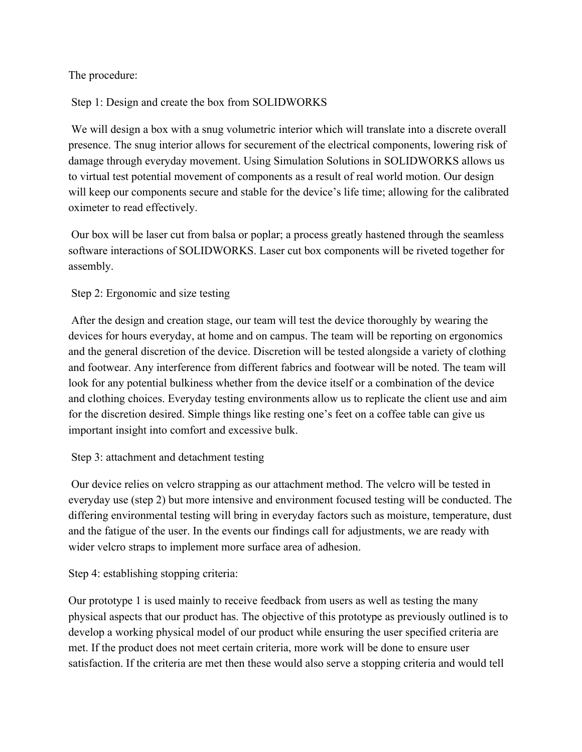#### The procedure:

#### Step 1: Design and create the box from SOLIDWORKS

 We will design a box with a snug volumetric interior which will translate into a discrete overall presence. The snug interior allows for securement of the electrical components, lowering risk of damage through everyday movement. Using Simulation Solutions in SOLIDWORKS allows us to virtual test potential movement of components as a result of real world motion. Our design will keep our components secure and stable for the device's life time; allowing for the calibrated oximeter to read effectively.

 Our box will be laser cut from balsa or poplar; a process greatly hastened through the seamless software interactions of SOLIDWORKS. Laser cut box components will be riveted together for assembly.

#### Step 2: Ergonomic and size testing

 After the design and creation stage, our team will test the device thoroughly by wearing the devices for hours everyday, at home and on campus. The team will be reporting on ergonomics and the general discretion of the device. Discretion will be tested alongside a variety of clothing and footwear. Any interference from different fabrics and footwear will be noted. The team will look for any potential bulkiness whether from the device itself or a combination of the device and clothing choices. Everyday testing environments allow us to replicate the client use and aim for the discretion desired. Simple things like resting one's feet on a coffee table can give us important insight into comfort and excessive bulk.

#### Step 3: attachment and detachment testing

 Our device relies on velcro strapping as our attachment method. The velcro will be tested in everyday use (step 2) but more intensive and environment focused testing will be conducted. The differing environmental testing will bring in everyday factors such as moisture, temperature, dust and the fatigue of the user. In the events our findings call for adjustments, we are ready with wider velcro straps to implement more surface area of adhesion.

Step 4: establishing stopping criteria:

Our prototype 1 is used mainly to receive feedback from users as well as testing the many physical aspects that our product has. The objective of this prototype as previously outlined is to develop a working physical model of our product while ensuring the user specified criteria are met. If the product does not meet certain criteria, more work will be done to ensure user satisfaction. If the criteria are met then these would also serve a stopping criteria and would tell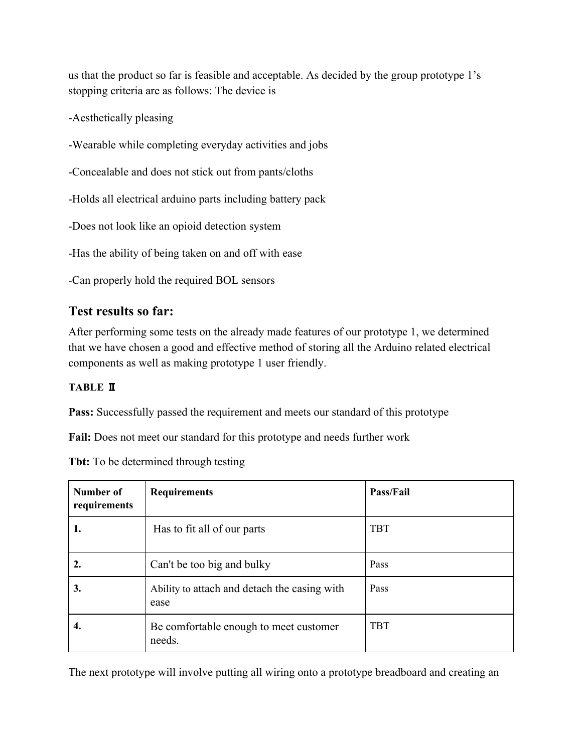us that the product so far is feasible and acceptable. As decided by the group prototype 1's stopping criteria are as follows: The device is

-Aesthetically pleasing

-Wearable while completing everyday activities and jobs

-Concealable and does not stick out from pants/cloths

-Holds all electrical arduino parts including battery pack

-Does not look like an opioid detection system

-Has the ability of being taken on and off with ease

-Can properly hold the required BOL sensors

### **Test results so far:**

After performing some tests on the already made features of our prototype 1, we determined that we have chosen a good and effective method of storing all the Arduino related electrical components as well as making prototype 1 user friendly.

#### **TABLE** Ⅱ

**Pass:** Successfully passed the requirement and meets our standard of this prototype

**Fail:** Does not meet our standard for this prototype and needs further work

**Tbt:** To be determined through testing

| Number of<br>requirements | <b>Requirements</b>                                  | Pass/Fail  |
|---------------------------|------------------------------------------------------|------------|
| 1.                        | Has to fit all of our parts                          | <b>TBT</b> |
| 2.                        | Can't be too big and bulky                           | Pass       |
| 3.                        | Ability to attach and detach the casing with<br>ease | Pass       |
| 4.                        | Be comfortable enough to meet customer<br>needs.     | <b>TBT</b> |

The next prototype will involve putting all wiring onto a prototype breadboard and creating an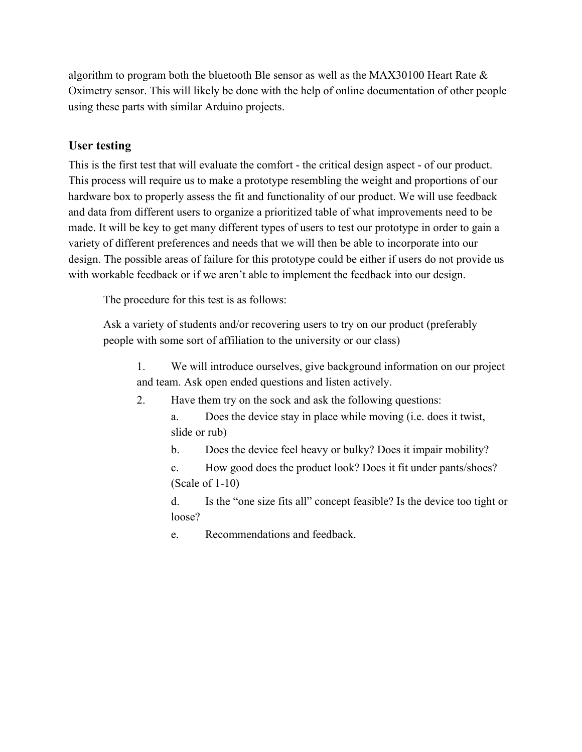algorithm to program both the bluetooth Ble sensor as well as the MAX30100 Heart Rate & Oximetry sensor. This will likely be done with the help of online documentation of other people using these parts with similar Arduino projects.

#### **User testing**

This is the first test that will evaluate the comfort - the critical design aspect - of our product. This process will require us to make a prototype resembling the weight and proportions of our hardware box to properly assess the fit and functionality of our product. We will use feedback and data from different users to organize a prioritized table of what improvements need to be made. It will be key to get many different types of users to test our prototype in order to gain a variety of different preferences and needs that we will then be able to incorporate into our design. The possible areas of failure for this prototype could be either if users do not provide us with workable feedback or if we aren't able to implement the feedback into our design.

The procedure for this test is as follows:

Ask a variety of students and/or recovering users to try on our product (preferably people with some sort of affiliation to the university or our class)

1. We will introduce ourselves, give background information on our project and team. Ask open ended questions and listen actively.

- 2. Have them try on the sock and ask the following questions:
	- a. Does the device stay in place while moving (i.e. does it twist, slide or rub)

b. Does the device feel heavy or bulky? Does it impair mobility?

c. How good does the product look? Does it fit under pants/shoes? (Scale of 1-10)

d. Is the "one size fits all" concept feasible? Is the device too tight or loose?

e. Recommendations and feedback.